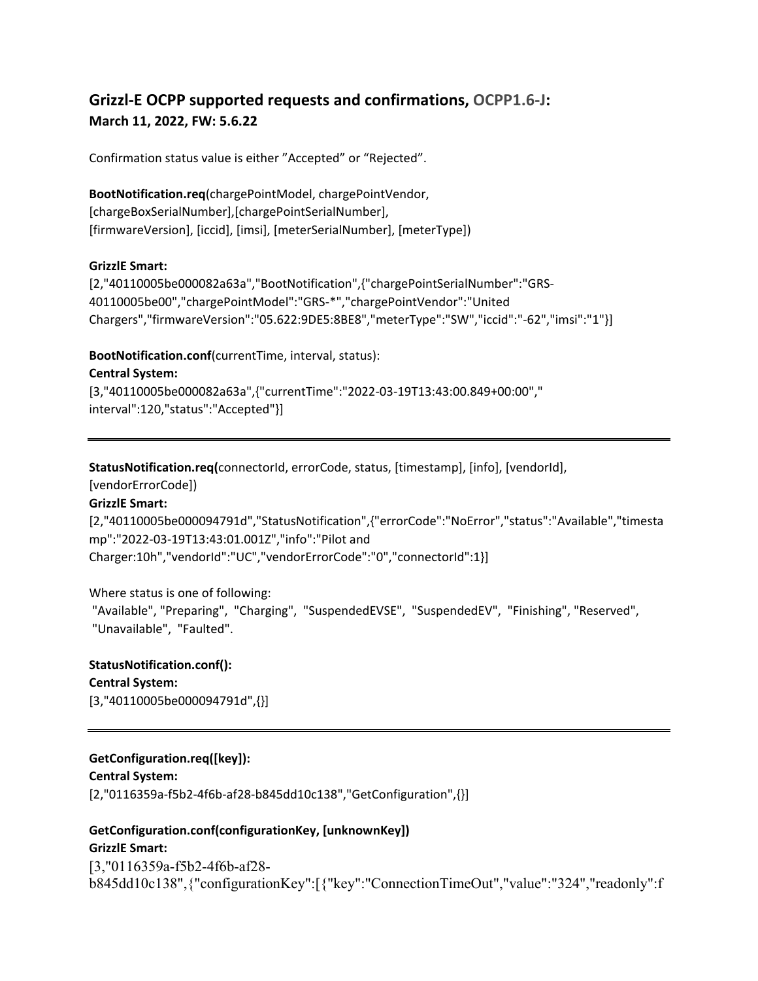# **Grizzl-E OCPP supported requests and confirmations, OCPP1.6-J: March 11, 2022, FW: 5.6.22**

Confirmation status value is either "Accepted" or "Rejected".

**BootNotification.req**(chargePointModel, chargePointVendor, [chargeBoxSerialNumber],[chargePointSerialNumber], [firmwareVersion], [iccid], [imsi], [meterSerialNumber], [meterType])

### **GrizzlE Smart:**

[2,"40110005be000082a63a","BootNotification",{"chargePointSerialNumber":"GRS-40110005be00","chargePointModel":"GRS-\*","chargePointVendor":"United Chargers","firmwareVersion":"05.622:9DE5:8BE8","meterType":"SW","iccid":"-62","imsi":"1"}]

### **BootNotification.conf**(currentTime, interval, status):

**Central System:**

[3,"40110005be000082a63a",{"currentTime":"2022-03-19T13:43:00.849+00:00"," interval":120,"status":"Accepted"}]

**StatusNotification.req(**connectorId, errorCode, status, [timestamp], [info], [vendorId],

[vendorErrorCode])

## **GrizzlE Smart:**

[2,"40110005be000094791d","StatusNotification",{"errorCode":"NoError","status":"Available","timesta mp":"2022-03-19T13:43:01.001Z","info":"Pilot and Charger:10h","vendorId":"UC","vendorErrorCode":"0","connectorId":1}]

Where status is one of following: "Available", "Preparing", "Charging", "SuspendedEVSE", "SuspendedEV", "Finishing", "Reserved", "Unavailable", "Faulted".

**StatusNotification.conf(): Central System:** [3,"40110005be000094791d",{}]

# **GetConfiguration.req([key]):**

**Central System:** [2,"0116359a-f5b2-4f6b-af28-b845dd10c138","GetConfiguration",{}]

# **GetConfiguration.conf(configurationKey, [unknownKey]) GrizzlE Smart:**

[3,"0116359a-f5b2-4f6b-af28 b845dd10c138",{"configurationKey":[{"key":"ConnectionTimeOut","value":"324","readonly":f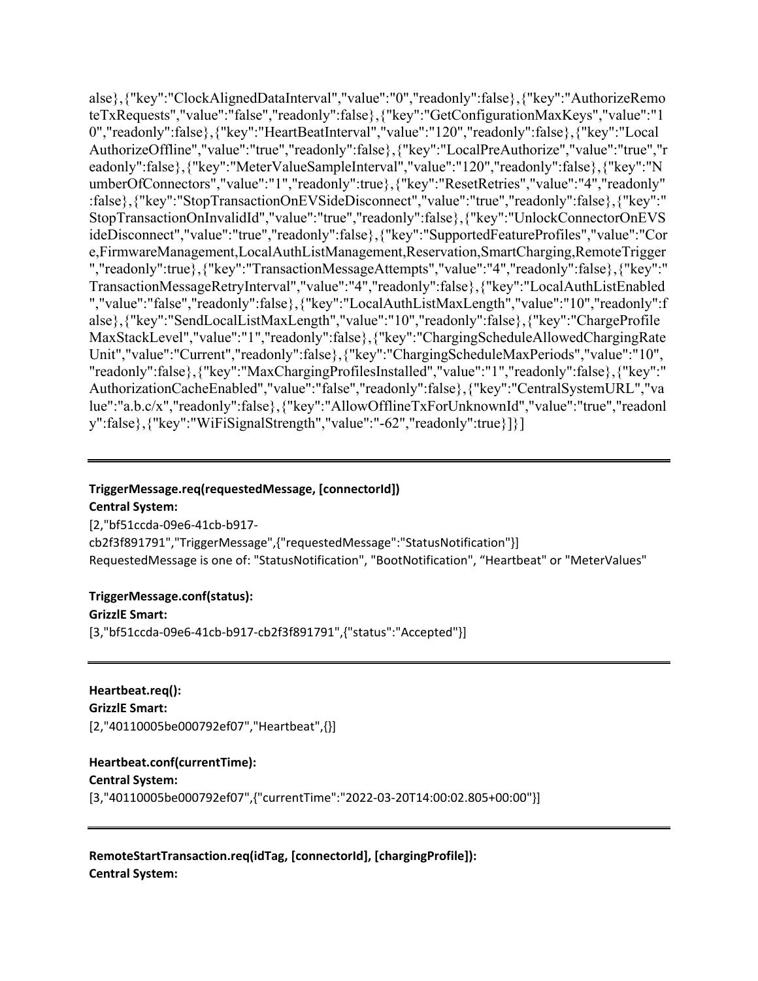alse},{"key":"ClockAlignedDataInterval","value":"0","readonly":false},{"key":"AuthorizeRemo teTxRequests","value":"false","readonly":false},{"key":"GetConfigurationMaxKeys","value":"1 0","readonly":false},{"key":"HeartBeatInterval","value":"120","readonly":false},{"key":"Local AuthorizeOffline","value":"true","readonly":false},{"key":"LocalPreAuthorize","value":"true","r eadonly":false},{"key":"MeterValueSampleInterval","value":"120","readonly":false},{"key":"N umberOfConnectors","value":"1","readonly":true},{"key":"ResetRetries","value":"4","readonly" :false},{"key":"StopTransactionOnEVSideDisconnect","value":"true","readonly":false},{"key":" StopTransactionOnInvalidId","value":"true","readonly":false},{"key":"UnlockConnectorOnEVS ideDisconnect","value":"true","readonly":false},{"key":"SupportedFeatureProfiles","value":"Cor e,FirmwareManagement,LocalAuthListManagement,Reservation,SmartCharging,RemoteTrigger ","readonly":true},{"key":"TransactionMessageAttempts","value":"4","readonly":false},{"key":" TransactionMessageRetryInterval","value":"4","readonly":false},{"key":"LocalAuthListEnabled ","value":"false","readonly":false},{"key":"LocalAuthListMaxLength","value":"10","readonly":f alse},{"key":"SendLocalListMaxLength","value":"10","readonly":false},{"key":"ChargeProfile MaxStackLevel","value":"1","readonly":false},{"key":"ChargingScheduleAllowedChargingRate Unit","value":"Current","readonly":false},{"key":"ChargingScheduleMaxPeriods","value":"10", "readonly":false},{"key":"MaxChargingProfilesInstalled","value":"1","readonly":false},{"key":" AuthorizationCacheEnabled","value":"false","readonly":false},{"key":"CentralSystemURL","va lue":"a.b.c/x","readonly":false},{"key":"AllowOfflineTxForUnknownId","value":"true","readonl y":false},{"key":"WiFiSignalStrength","value":"-62","readonly":true}]}]

#### **TriggerMessage.req(requestedMessage, [connectorId])**

**Central System:**

[2,"bf51ccda-09e6-41cb-b917 cb2f3f891791","TriggerMessage",{"requestedMessage":"StatusNotification"}] RequestedMessage is one of: "StatusNotification", "BootNotification", "Heartbeat" or "MeterValues"

#### **TriggerMessage.conf(status):**

**GrizzlE Smart:**

[3,"bf51ccda-09e6-41cb-b917-cb2f3f891791",{"status":"Accepted"}]

**Heartbeat.req(): GrizzlE Smart:** [2,"40110005be000792ef07","Heartbeat",{}]

# **Heartbeat.conf(currentTime):**

**Central System:**

[3,"40110005be000792ef07",{"currentTime":"2022-03-20T14:00:02.805+00:00"}]

**RemoteStartTransaction.req(idTag, [connectorId], [chargingProfile]): Central System:**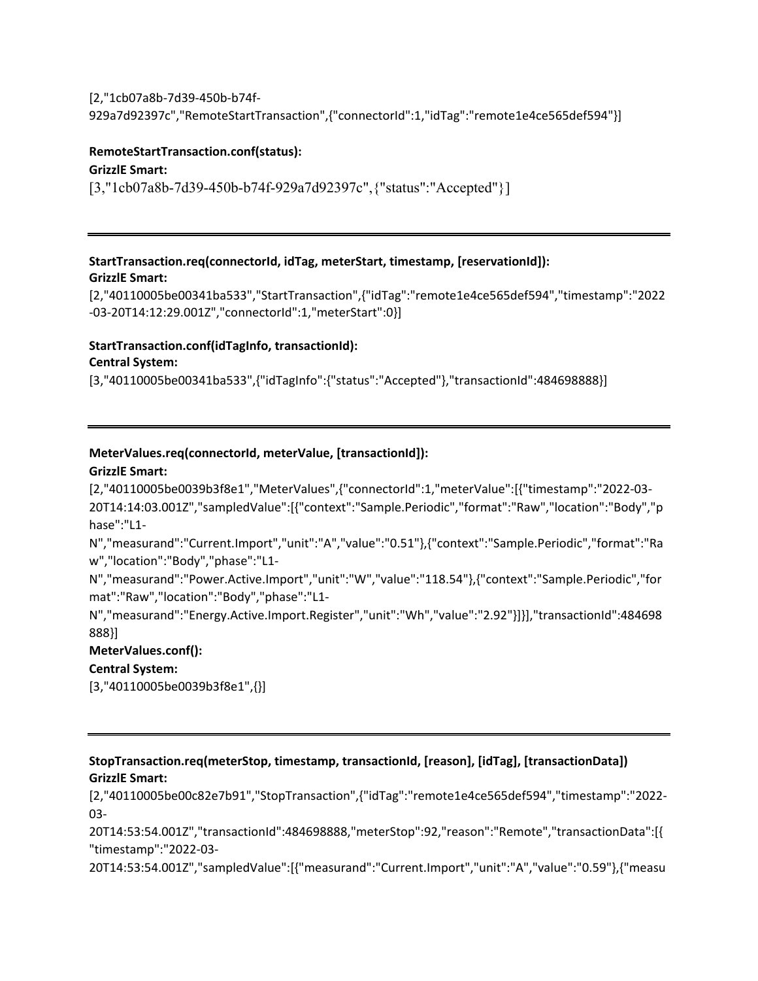#### [2,"1cb07a8b-7d39-450b-b74f-

929a7d92397c","RemoteStartTransaction",{"connectorId":1,"idTag":"remote1e4ce565def594"}]

# **RemoteStartTransaction.conf(status):**

## **GrizzlE Smart:**

[3,"1cb07a8b-7d39-450b-b74f-929a7d92397c",{"status":"Accepted"}]

#### **StartTransaction.req(connectorId, idTag, meterStart, timestamp, [reservationId]): GrizzlE Smart:**

[2,"40110005be00341ba533","StartTransaction",{"idTag":"remote1e4ce565def594","timestamp":"2022 -03-20T14:12:29.001Z","connectorId":1,"meterStart":0}]

#### **StartTransaction.conf(idTagInfo, transactionId):**

#### **Central System:**

[3,"40110005be00341ba533",{"idTagInfo":{"status":"Accepted"},"transactionId":484698888}]

# **MeterValues.req(connectorId, meterValue, [transactionId]):**

#### **GrizzlE Smart:**

[2,"40110005be0039b3f8e1","MeterValues",{"connectorId":1,"meterValue":[{"timestamp":"2022-03- 20T14:14:03.001Z","sampledValue":[{"context":"Sample.Periodic","format":"Raw","location":"Body","p hase":"L1-

N","measurand":"Current.Import","unit":"A","value":"0.51"},{"context":"Sample.Periodic","format":"Ra w","location":"Body","phase":"L1-

N","measurand":"Power.Active.Import","unit":"W","value":"118.54"},{"context":"Sample.Periodic","for mat":"Raw","location":"Body","phase":"L1-

N","measurand":"Energy.Active.Import.Register","unit":"Wh","value":"2.92"}]}],"transactionId":484698 888}]

#### **MeterValues.conf():**

#### **Central System:**

[3,"40110005be0039b3f8e1",{}]

#### **StopTransaction.req(meterStop, timestamp, transactionId, [reason], [idTag], [transactionData]) GrizzlE Smart:**

[2,"40110005be00c82e7b91","StopTransaction",{"idTag":"remote1e4ce565def594","timestamp":"2022- 03-

20T14:53:54.001Z","transactionId":484698888,"meterStop":92,"reason":"Remote","transactionData":[{ "timestamp":"2022-03-

20T14:53:54.001Z","sampledValue":[{"measurand":"Current.Import","unit":"A","value":"0.59"},{"measu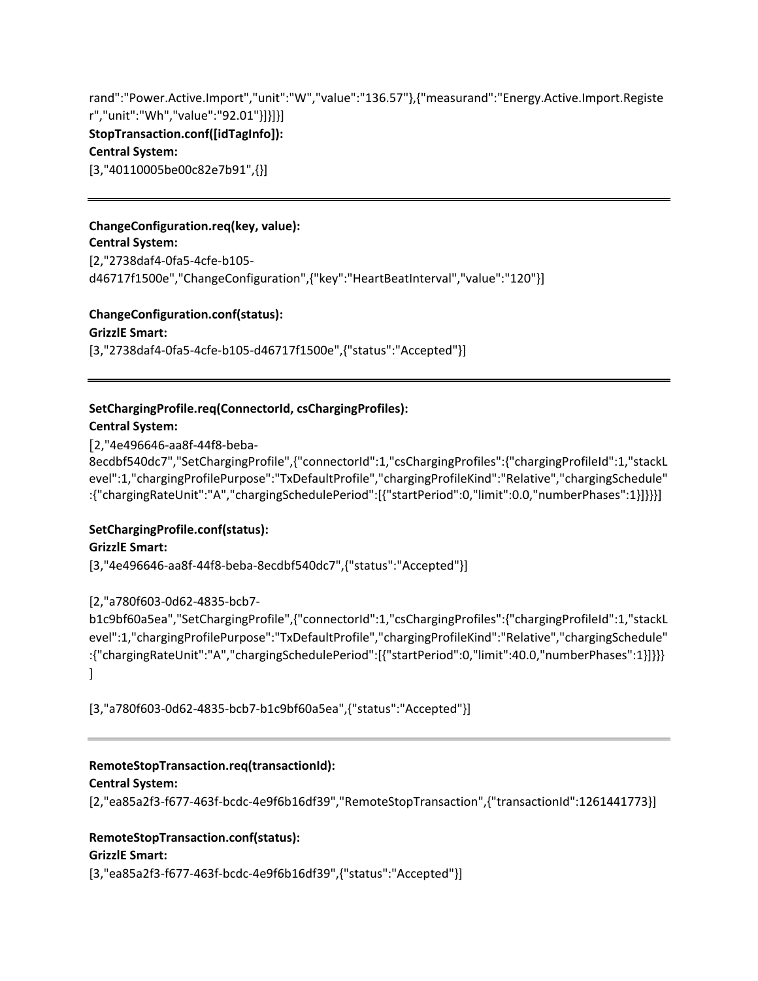rand":"Power.Active.Import","unit":"W","value":"136.57"},{"measurand":"Energy.Active.Import.Registe r","unit":"Wh","value":"92.01"}]}]}] **StopTransaction.conf([idTagInfo]): Central System:** [3,"40110005be00c82e7b91",{}]

#### **ChangeConfiguration.req(key, value):**

**Central System:** [2,"2738daf4-0fa5-4cfe-b105 d46717f1500e","ChangeConfiguration",{"key":"HeartBeatInterval","value":"120"}]

#### **ChangeConfiguration.conf(status):**

**GrizzlE Smart:**

[3,"2738daf4-0fa5-4cfe-b105-d46717f1500e",{"status":"Accepted"}]

# **SetChargingProfile.req(ConnectorId, csChargingProfiles):**

### **Central System:**

[2,"4e496646-aa8f-44f8-beba-

8ecdbf540dc7","SetChargingProfile",{"connectorId":1,"csChargingProfiles":{"chargingProfileId":1,"stackL evel":1,"chargingProfilePurpose":"TxDefaultProfile","chargingProfileKind":"Relative","chargingSchedule" :{"chargingRateUnit":"A","chargingSchedulePeriod":[{"startPeriod":0,"limit":0.0,"numberPhases":1}]}}}]

# **SetChargingProfile.conf(status):**

#### **GrizzlE Smart:**

[3,"4e496646-aa8f-44f8-beba-8ecdbf540dc7",{"status":"Accepted"}]

#### [2,"a780f603-0d62-4835-bcb7-

b1c9bf60a5ea","SetChargingProfile",{"connectorId":1,"csChargingProfiles":{"chargingProfileId":1,"stackL evel":1,"chargingProfilePurpose":"TxDefaultProfile","chargingProfileKind":"Relative","chargingSchedule" :{"chargingRateUnit":"A","chargingSchedulePeriod":[{"startPeriod":0,"limit":40.0,"numberPhases":1}]}}} ]

[3,"a780f603-0d62-4835-bcb7-b1c9bf60a5ea",{"status":"Accepted"}]

# **RemoteStopTransaction.req(transactionId):**

#### **Central System:**

[2,"ea85a2f3-f677-463f-bcdc-4e9f6b16df39","RemoteStopTransaction",{"transactionId":1261441773}]

#### **RemoteStopTransaction.conf(status):**

#### **GrizzlE Smart:**

[3,"ea85a2f3-f677-463f-bcdc-4e9f6b16df39",{"status":"Accepted"}]